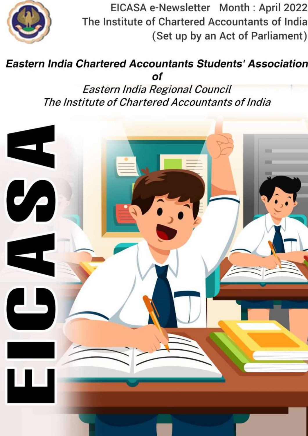

EICASA e-Newsletter Month: April 2022 The Institute of Chartered Accountants of India (Set up by an Act of Parliament)

#### **Eastern India Chartered Accountants Students' Association** of

Eastern India Regional Council The Institute of Chartered Accountants of India

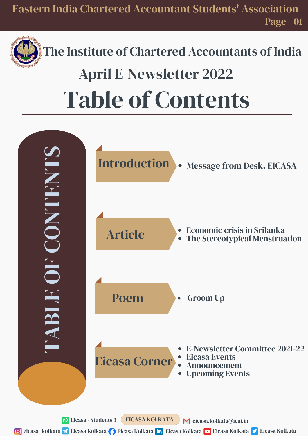

## The Institute of Chartered Accountants of India Table of Contents April E-Newsletter 2022

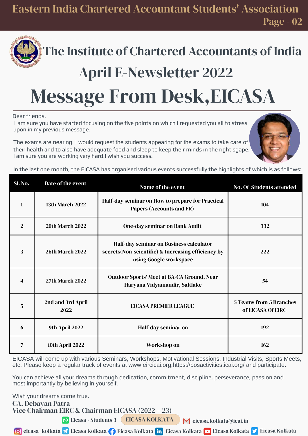Eastern India Chartered Accountant Students' Association Page - 02



### The Institute of Chartered Accountants of India

### April E-Newsletter 2022

## Message From Desk,EICASA

Dear friends,

I am sure you have started focusing on the five points on which I requested you all to stress upon in my previous message.

The exams are nearing. I would request the students appearing for the exams to take care of their health and to also have adequate food and sleep to keep their minds in the right sgape. I am sure you are working very hard.I wish you success.



In the last one month, the EICASA has organised various events successfully the highlights of which is as follows:

| SL <sub>No.</sub> | Date of the event         | Name of the event                                                                                                        | <b>No. Of Students attended</b>                     |
|-------------------|---------------------------|--------------------------------------------------------------------------------------------------------------------------|-----------------------------------------------------|
| $\mathbf{1}$      | <b>13th March 2022</b>    | Half-day seminar on How to prepare for Practical<br>Papers (Accounts and FR)                                             | 104                                                 |
| 2                 | <b>20th March 2022</b>    | <b>One-day seminar on Bank Audit</b>                                                                                     | 332                                                 |
| 3                 | <b>26th March 2022</b>    | Half-day seminar on Business calculator<br>secrets (Non-scientific) & Increasing efficiency by<br>using Google workspace | 222                                                 |
| 4                 | <b>27th March 2022</b>    | <b>Outdoor Sports' Meet at BA-CA Ground, Near</b><br>Haryana Vidyamandir, Saltlake                                       | 54                                                  |
| 5                 | 2nd and 3rd April<br>2022 | <b>EICASA PREMIER LEAGUE</b>                                                                                             | <b>5 Teams from 5 Branches</b><br>of EICASA Of EIRC |
| 6                 | 9th April 2022            | Half-day seminar on                                                                                                      | 192                                                 |
| 7                 | <b>10th April 2022</b>    | Workshop on                                                                                                              | 162                                                 |

EICASA will come up with various Seminars, Workshops, Motivational Sessions, Industrial Visits, Sports Meets, etc. Please keep a regular track of events at www.eircicai.org,https://bosactivities.icai.org/ and participate.

You can achieve all your dreams through dedication, commitment, discipline, perseverance, passion and most importantly by believing in yourself.

Wish your dreams come true.

CA. Debayan Patra Vice Chairman EIRC & Chairman EICASA (2022 – 23)

EICASA KOLKATA  $\bigcirc$  Eicasa - Students 3 EICASA KOLKATA  $\bigcirc$  eicasa.kolkata@icai.in

**6** eicasa\_kolkata <mark></a</mark> Eicasa Kolkata **Ale** Eicasa Kolkata <mark>Eicasa Kolkata Eicasa Kolkata Eicasa Kolkata Eicasa Kolkata</mark>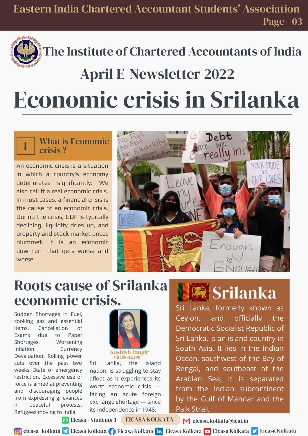## April E-Newsletter 2022

# Economic crisis in Srilanka

#### What is Economic crisis ?

1

An economic crisis is a situation in which a country's economy deteriorates significantly. We also call it a real economic crisis. In most cases, a financial crisis is the cause of an economic crisis. During the crisis, GDP is typically declining, liquidity dries up, and property and stock market prices plummet. It is an economic downturn that gets worse and worse.



### Roots cause of Srilanka economic crisis.

Sudden Shortages in Fuel, cooking gas and essential items. Cancellation of Exams due to Paper Shortages. Worsening Inflation. Currency Devaluation. Rolling power cuts over the past two weeks. State of emergency restriction. Excessive use of force is aimed at preventing and discouraging people from expressing grievances in peaceful protests. Refugees moving to India.



Kashish Jangir CRO0642390

Sri Lanka, the island nation, is struggling to stay afloat as it experiences its worst economic crisis facing an acute foreign exchange shortage — since its independence in 1948.



### Srilanka

Sri Lanka, formerly known as Ceylon, and officially the Democratic Socialist Republic of Sri Lanka, is an island country in South Asia. It lies in the Indian Ocean, southwest of the Bay of Bengal, and southeast of the Arabian Sea; it is separated from the Indian subcontinent by the Gulf of Mannar and the Palk Strait

Eicasa - Students 3 EICASA KOLKATA  $\bigwedge$  eicasa.kolkata@icai.in

**6** eicasa\_kolkata <mark></a</mark> Eicasa Kolkata **Ale** Eicasa Kolkata <mark>Eicasa Kolkata Eicasa Kolkata Eicasa Kolkata Eicasa Kolkata</mark>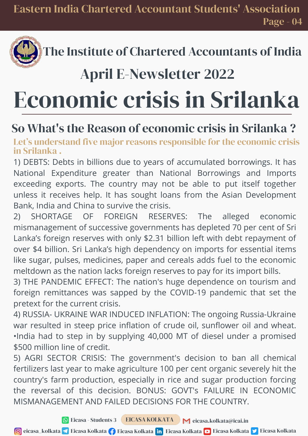### April E-Newsletter 2022

# Economic crisis in Srilanka

### So What's the Reason of economic crisis in Srilanka ?

Let's understand five major reasons responsible for the economic crisis in Srilanka .

1) DEBTS: Debts in billions due to years of accumulated borrowings. It has National Expenditure greater than National Borrowings and Imports exceeding exports. The country may not be able to put itself together unless it receives help. It has sought loans from the Asian Development Bank, India and China to survive the crisis.

2) SHORTAGE OF FOREIGN RESERVES: The alleged economic mismanagement of successive governments has depleted 70 per cent of Sri Lanka's foreign reserves with only \$2.31 billion left with debt repayment of over \$4 billion. Sri Lanka's high dependency on imports for essential items like sugar, pulses, medicines, paper and cereals adds fuel to the economic meltdown as the nation lacks foreign reserves to pay for its import bills.

3) THE PANDEMIC EFFECT: The nation's huge dependence on tourism and foreign remittances was sapped by the COVID-19 pandemic that set the pretext for the current crisis.

4) RUSSIA- UKRAINE WAR INDUCED INFLATION: The ongoing Russia-Ukraine war resulted in steep price inflation of crude oil, sunflower oil and wheat. •India had to step in by supplying 40,000 MT of diesel under a promised \$500 million line of credit.

5) AGRI SECTOR CRISIS: The government's decision to ban all chemical fertilizers last year to make agriculture 100 per cent organic severely hit the country's farm production, especially in rice and sugar production forcing the reversal of this decision. BONUS: GOVT's FAILURE IN ECONOMIC MISMANAGEMENT AND FAILED DECISIONS FOR THE COUNTRY.

Eicasa - Students 3 EICASA KOLKATA  $\bigwedge$  eicasa.kolkata@icai.in

**6** eicasa\_kolkata <mark></a></mark> Eicasa Kolkata  $\blacksquare$  Eicasa Kolkata  $\blacksquare$  Eicasa Eicasa Eicasa Kolkata Eicasa Kolkata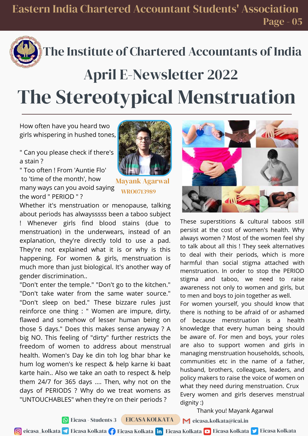## The Stereotypical Menstruation April E-Newsletter 2022

How often have you heard two girls whispering in hushed tones,

" Can you please check if there's a stain ?

" Too often ! From 'Auntie Flo' to 'time of the month', how many ways can you avoid saying the word " PERIOD " ?



Mayank Agarwal WRO0713989

Whether it's menstruation or menopause, talking about periods has alwaysssss been a taboo subject ! Whenever girls find blood stains (due to menstruation) in the underwears, instead of an explanation, they're directly told to use a pad. They're not explained what it is or why is this happening. For women & girls, menstruation is much more than just biological. It's another way of gender discrimination..

"Don't enter the temple." "Don't go to the kitchen." "Don't take water from the same water source." "Don't sleep on bed." These bizzare rules just reinforce one thing : " Women are impure, dirty, flawed and somehow of lesser human being on those 5 days." Does this makes sense anyway ? A big NO. This feeling of "dirty" further restricts the freedom of women to address about menstrual health. Women's Day ke din toh log bhar bhar ke hum log women's ke respect & help karne ki baat karte hain.. Also we take an oath to respect & help them 24/7 for 365 days .... Then, why not on the days of PERIODS ? Why do we treat womens as "UNTOUCHABLES" when they're on their periods ?



These superstitions & cultural taboos still persist at the cost of women's health. Why always women ? Most of the women feel shy to talk about all this ! They seek alternatives to deal with their periods, which is more harmful than social stigma attached with menstruation. In order to stop the PERIOD stigma and taboo, we need to raise awareness not only to women and girls, but to men and boys to join together as well.

of because menstruation is a health knowledge that every human being should For women yourself, you should know that there is nothing to be afraid of or ashamed be aware of. For men and boys, your roles are also to support women and girls in managing menstruation households, schools, communities etc in the name of a father, husband, brothers, colleagues, leaders, and policy makers to raise the voice of women on what they need during menstruation. Crux Every women and girls deserves menstrual dignity :)

Thank you! Mayank Agarwal

EICASA KOLKATA  $\bullet$  Eicasa - Students 3 EICASA KOLKATA  $\bullet$  eicasa.kolkata@icai.in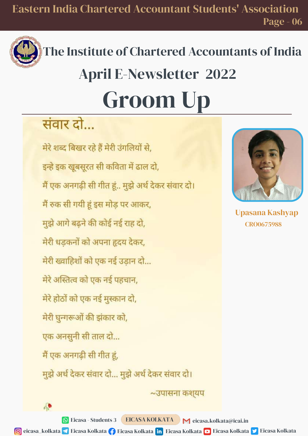

## The Institute of Chartered Accountants of India Groom Up April E-Newsletter 2022

### संवार दो...

 $\sqrt{2}$ 

मेरे शब्द बिखर रहे हैं मेरी उंगलियों से. इन्हे इक खूबसूरत सी कविता में ढाल दो, मैं एक अनगढ़ी सी गीत हूं.. मुझे अर्थ देकर संवार दो। मैं रुक सी गयी हूं इस मोड पर आकर, मुझे आगे बढने की कोई नई राह दो, मेरी धडकनों को अपना हृदय देकर, मेरी ख्वाहिशों को एक नई उडान दो... मेरे अस्तित्व को एक नई पहचान. मेरे होठों को एक नई मुस्कान दो, मेरी घुन्गरूओं की झंकार को, एक अनसुनी सी ताल दो... मैं एक अनगढ़ी सी गीत हूं, मुझे अर्थ देकर संवार दो... मुझे अर्थ देकर संवार दो।



Upasana Kashyap CRO0675988

EICASA KOLKATA  $\bullet$  Eicasa - Students 3 EICASA KOLKATA  $\bullet$  eicasa.kolkata@icai.in

 $\sim$ उपासना कशयप

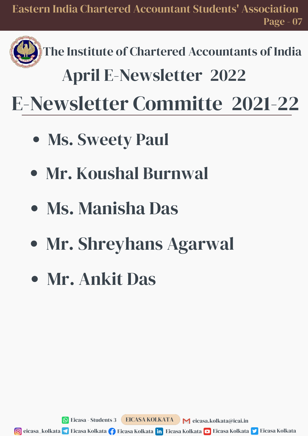## April E-Newsletter 2022

E-Newsletter Committe 2021-22

- Ms. Sweety Paul
- Mr. Koushal Burnwal
- Ms. Manisha Das
- Mr. Shreyhans Agarwal
- Mr. Ankit Das

Eicasa - Students 3 EICASA KOLKATA  $\bigwedge$  eicasa.kolkata@icai.in

**6** eicasa\_kolkata <mark></a</mark> Eicasa Kolkata <mark>(\*)</mark> Eicasa Kolkata <mark>Eicasa Kolkata Eicasa Kolkata Eicasa Kolkata Eicasa Kolkata</mark>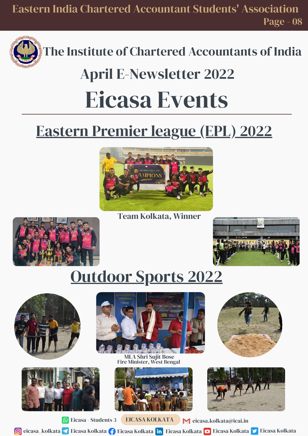Eastern India Chartered Accountant Students' Association Page - 08



The Institute of Chartered Accountants of India

## Eicasa Events April E-Newsletter 2022

### Eastern Premier league (EPL) 2022



Team Kolkata, Winner





## Outdoor Sports 2022







Fire Minister, West Bengal MLA Shri Sujit Bose







Eicasa - Students 3 EICASA KOLKATA  $\bigwedge$  eicasa.kolkata@icai.in

**6** eicasa\_kolkata <mark></a</mark> Eicasa Kolkata <mark>Eicasa Kolkata Eina Eicasa Kolkata Eicasa Kolkata Eicasa Kolkata Eicasa Kolkata</mark>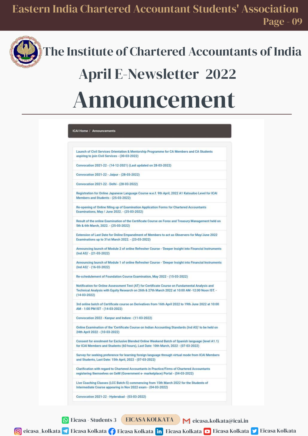

## Announcement April E-Newsletter 2022

|                                       | Launch of Civil Services Orientation & Mentorship Programme for CA Members and CA Students<br>aspiring to join Civil Services - (30-03-2022)                                                        |  |
|---------------------------------------|-----------------------------------------------------------------------------------------------------------------------------------------------------------------------------------------------------|--|
|                                       | Convocation 2021-22 - (14-12-2021) (Last updated on 28-03-2022)                                                                                                                                     |  |
|                                       | Convocation 2021-22 - Jaipur - (28-03-2022)                                                                                                                                                         |  |
|                                       | Convocation 2021-22 - Delhi - (28-03-2022)                                                                                                                                                          |  |
| Members and Students - (25-03-2022)   | Registration for Online Japanese Language Course w.e.f. 9th April, 2022 A1 Katsudoo Level for ICAI                                                                                                  |  |
|                                       | Re-opening of Online filling up of Examination Application Forms for Chartered Accountants<br>Examinations, May / June 2022. - (25-03-2022)                                                         |  |
| 5th & 6th March, 2022. - (25-03-2022) | Result of the online Examination of the Certificate Course on Forex and Treasury Management held on                                                                                                 |  |
|                                       | Extension of Last Date for Online Empanelment of Members to act as Observers for May/June 2022<br>Examinations up to 31st March 2022. - (23-03-2022)                                                |  |
| (Ind AS)' - (21-03-2022)              | Announcing launch of Module 2 of online Refresher Course - 'Deeper Insight into Financial Instruments                                                                                               |  |
| $(Ind AS)' - (16-03-2022)$            | Announcing launch of Module 1 of online Refresher Course - 'Deeper Insight into Financial Instruments                                                                                               |  |
|                                       | Re-schedulement of Foundation Course Examination, May 2022 - (15-03-2022)                                                                                                                           |  |
| $(14-03-2022)$                        | Notification for Online Assessment Test (AT) for Certificate Course on Fundamental Analysis and<br>Technical Analysis with Equity Research on 26th & 27th March 2022 at 10:00 AM -12:00 Noon IST. - |  |
| AM - 1:00 PM IST - (14-03-2022)       | 3rd online batch of Certificate course on Derivatives from 16th April 2022 to 19th June 2022 at 10:00                                                                                               |  |
|                                       | Convocation 2022 - Kanpur and Indore - (11-03-2022)                                                                                                                                                 |  |
| 24th April 2022 - (10-03-2022)        | Online Examination of the 'Certificate Course on Indian Accounting Standards (Ind AS)' to be held on                                                                                                |  |
|                                       | Consent for enrolment for Exclusive Blended Online Weekend Batch of Spanish language (level A1.1)<br>for ICAI Members and Students (60 hours), Last Date: 10th March, 2022 - (07-03-2022)           |  |
|                                       | Survey for seeking preference for learning foreign language through virtual mode from ICAI Members<br>and Students, Last Date: 15th April, 2022 - (07-03-2022)                                      |  |
|                                       | Clarification with regard to Chartered Accountants in Practice/Firms of Chartered Accountants<br>registering themselves on GeM (Government e- marketplace) Portal - (04-03-2022)                    |  |
|                                       | Live Coaching Classes (LCC Batch-5) commencing from 15th March 2022 for the Students of<br>Intermediate Course appearing in Nov 2022 exam - (04-03-2022)                                            |  |
|                                       | Convocation 2021-22 - Hyderabad - (03-03-2022)                                                                                                                                                      |  |

EICASA KOLKATA  $\bullet$  Eicasa - Students 3 EICASA KOLKATA  $\bullet$  eicasa.kolkata@icai.in

**6** eicasa\_kolkata <mark></a></mark> Eicasa Kolkata  $\blacksquare$  Eicasa Kolkata  $\blacksquare$  Eicasa Eicasa Eicasa Kolkata Eicasa Kolkata